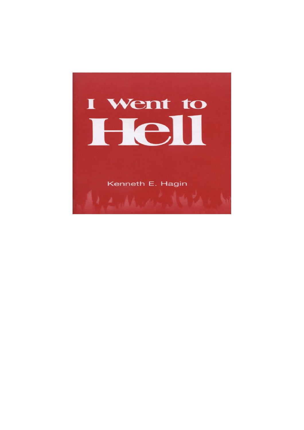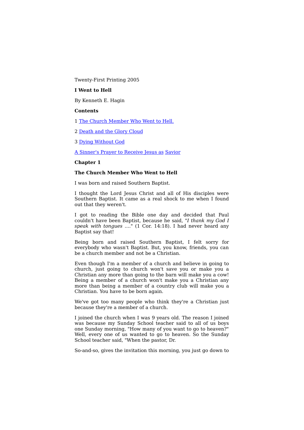Twenty-First Printing 2005

## **I Went to Hell**

By Kenneth E. Hagin

## **Contents**

- 1 The Church Member Who Went to Hell.
- 2 Death and the Glory Cloud
- 3 Dying Without God

## A Sinner's Prayer to Receive Jesus as Savior

## **Chapter 1**

## **The Church Member Who Went to Hell**

I was born and raised Southern Baptist.

I thought the Lord Jesus Christ and all of His disciples were Southern Baptist. It came as a real shock to me when I found out that they weren't.

I got to reading the Bible one day and decided that Paul couldn't have been Baptist, because he said, *"I thank my God I speak with tongues* ...." (1 Cor. 14:18). I had never heard any Baptist say that!

Being born and raised Southern Baptist, I felt sorry for everybody who wasn't Baptist. But, you know, friends, you can be a church member and not be a Christian.

Even though I'm a member of a church and believe in going to church, just going to church won't save you or make you a Christian any more than going to the barn will make you a cow! Being a member of a church won't make you a Christian any more than being a member of a country club will make you a Christian. You have to be born again.

We've got too many people who think they're a Christian just because they're a member of a church.

I joined the church when I was 9 years old. The reason I joined was because my Sunday School teacher said to all of us boys one Sunday morning, "How many of you want to go to heaven?" Well, every one of us wanted to go to heaven. So the Sunday School teacher said, "When the pastor, Dr.

So-and-so, gives the invitation this morning, you just go down to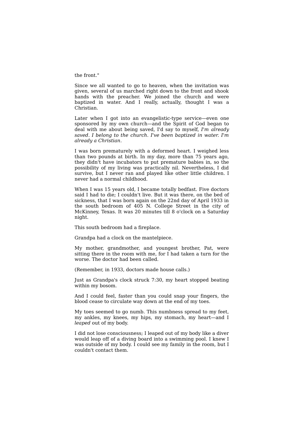the front."

Since we all wanted to go to heaven, when the invitation was given, several of us marched right down to the front and shook hands with the preacher. We joined the church and were baptized in water. And I really, actually, thought I was a Christian.

Later when I got into an evangelistic-type service—even one sponsored by my own church—and the Spirit of God began to deal with me about being saved, I'd say to myself, *I'm already saved. I belong to the church. I've been baptized in water. I'm already a Christian.*

I was born prematurely with a deformed heart. I weighed less than two pounds at birth. In my day, more than 75 years ago, they didn't have incubators to put premature babies in, so the possibility of my living was practically nil. Nevertheless, I did survive, but I never ran and played like other little children. I never had a normal childhood.

When I was 15 years old, I became totally bedfast. Five doctors said I had to die; I couldn't live. But it was there, on the bed of sickness, that I was born again on the 22nd day of April 1933 in the south bedroom of 405 N. College Street in the city of McKinney, Texas. It was 20 minutes till 8 o'clock on a Saturday night.

This south bedroom had a fireplace.

Grandpa had a clock on the mantelpiece.

My mother, grandmother, and youngest brother, Pat, were sitting there in the room with me, for I had taken a turn for the worse. The doctor had been called.

(Remember, in 1933, doctors made house calls.)

Just as Grandpa's clock struck 7:30, my heart stopped beating within my bosom.

And I could feel, faster than you could snap your fingers, the blood cease to circulate way down at the end of my toes.

My toes seemed to go numb. This numbness spread to my feet, my ankles, my knees, my hips, my stomach, my heart—and I *leaped* out of my body.

I did not lose consciousness; I leaped out of my body like a diver would leap off of a diving board into a swimming pool. I knew I was outside of my body. I could see my family in the room, but I couldn't contact them.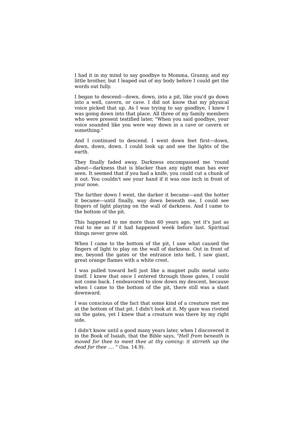I had it in my mind to say goodbye to Momma, Granny, and my little brother, but I leaped out of my body before I could get the words out fully.

I began to descend—down, down, into a pit, like you'd go down into a well, cavern, or cave. I did not know that my physical voice picked that up. As I was trying to say goodbye, I knew I was going down into that place. All three of my family members who were present testified later, "When you said goodbye, your voice sounded like you were way down in a cave or cavern or something."

And I continued to descend. I went down feet first—down, down, down, down. I could look up and see the lights of the earth.

They finally faded away. Darkness encompassed me 'round about—darkness that is blacker than any night man has ever seen. It seemed that if you had a knife, you could cut a chunk of it out. You couldn't see your hand if it was one inch in front of your nose.

The farther down I went, the darker it became—and the hotter it became—until finally, way down beneath me, I could see fingers of light playing on the wall of darkness. And I came to the bottom of the pit.

This happened to me more than 60 years ago, yet it's just as real to me as if it had happened week before last. Spiritual things never grow old.

When I came to the bottom of the pit, I saw what caused the fingers of light to play on the wall of darkness. Out in front of me, beyond the gates or the entrance into hell, I saw giant, great orange flames with a white crest.

I was pulled toward hell just like a magnet pulls metal unto itself. I knew that once I entered through those gates, I could not come back. I endeavored to slow down my descent, because when I came to the bottom of the pit, there still was a slant downward.

I was conscious of the fact that some kind of a creature met me at the bottom of that pit. I didn't look at it. My gaze was riveted on the gates, yet I knew that a creature was there by my right side.

I didn't know until a good many years later, when I discovered it in the Book of Isaiah, that the Bible says, *"Hell from beneath is moved for thee to meet thee at thy coming: it stirreth up the dead for thee ....* " (Isa. 14.9).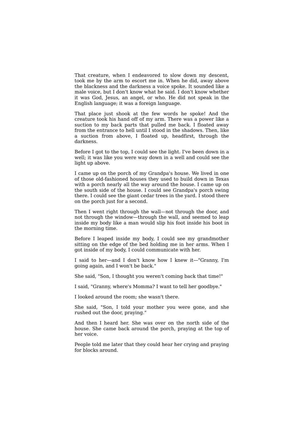That creature, when I endeavored to slow down my descent, took me by the arm to escort me in. When he did, away above the blackness and the darkness a voice spoke. It sounded like a male voice, but I don't know what he said. I don't know whether it was God, Jesus, an angel, or who. He did not speak in the English language; it was a foreign language.

That place just shook at the few words he spoke! And the creature took his hand off of my arm. There was a power like a suction to my back parts that pulled me back. I floated away from the entrance to hell until I stood in the shadows. Then, like a suction from above, I floated up, headfirst, through the darkness.

Before I got to the top, I could see the light. I've been down in a well; it was like you were way down in a well and could see the light up above.

I came up on the porch of my Grandpa's house. We lived in one of those old-fashioned houses they used to build down in Texas with a porch nearly all the way around the house. I came up on the south side of the house. I could see Grandpa's porch swing there. I could see the giant cedar trees in the yard. I stood there on the porch just for a second.

Then I went right through the wall—not through the door, and not through the window—through the wall, and seemed to leap inside my body like a man would slip his foot inside his boot in the morning time.

Before I leaped inside my body, I could see my grandmother sitting on the edge of the bed holding me in her arms. When I got inside of my body, I could communicate with her.

I said to her—and I don't know how I knew it—"Granny, I'm going again, and I won't be back."

She said, "Son, I thought you weren't coming back that time!"

I said, "Granny, where's Momma? I want to tell her goodbye."

I looked around the room; she wasn't there.

She said, "Son, I told your mother you were gone, and she rushed out the door, praying."

And then I heard her. She was over on the north side of the house. She came back around the porch, praying at the top of her voice.

People told me later that they could hear her crying and praying for blocks around.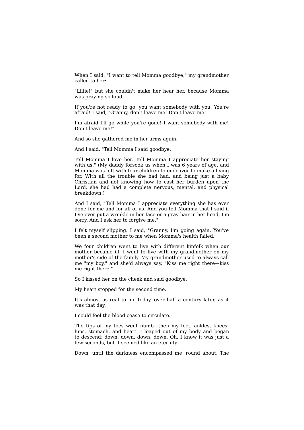When I said, "I want to tell Momma goodbye," my grandmother called to her:

"Lillie!" but she couldn't make her hear her, because Momma was praying so loud.

If you're not ready to go, you want somebody with you. You're afraid! I said, "Granny, don't leave me! Don't leave me!

I'm afraid I'll go while you're gone! I want somebody with me! Don't leave me!"

And so she gathered me in her arms again.

And I said, "Tell Momma I said goodbye.

Tell Momma I love her. Tell Momma I appreciate her staying with us." (My daddy forsook us when I was 6 years of age, and Momma was left with four children to endeavor to make a living for. With all the trouble she had had, and being just a baby Christian and not knowing how to cast her burden upon the Lord, she had had a complete nervous, mental, and physical breakdown.)

And I said, "Tell Momma I appreciate everything she has ever done for me and for all of us. And you tell Momma that I said if I've ever put a wrinkle in her face or a gray hair in her head, I'm sorry. And I ask her to forgive me."

I felt myself slipping. I said, "Granny, I'm going again. You've been a second mother to me when Momma's health failed."

We four children went to live with different kinfolk when our mother became ill. I went to live with my grandmother on my mother's side of the family. My grandmother used to always call me "my boy," and she'd always say, "Kiss me right there—kiss me right there."

So I kissed her on the cheek and said goodbye.

My heart stopped for the second time.

It's almost as real to me today, over half a century later, as it was that day.

I could feel the blood cease to circulate.

The tips of my toes went numb—then my feet, ankles, knees, hips, stomach, and heart. I leaped out of my body and began to descend: down, down, down, down. Oh, I know it was just a few seconds, but it seemed like an eternity.

Down, until the darkness encompassed me 'round about. The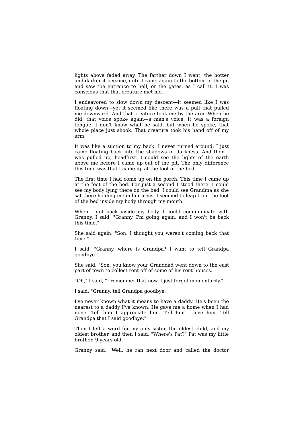lights above faded away. The farther down I went, the hotter and darker it became, until I came again to the bottom of the pit and saw the entrance to hell, or the gates, as I call it. I was conscious that that creature met me.

I endeavored to slow down my descent—it seemed like I was floating down—yet it seemed like there was a pull that pulled me downward. And that creature took me by the arm. When he did, that voice spoke again—a man's voice. It was a foreign tongue. I don't know what he said, but when he spoke, that whole place just shook. That creature took his hand off of my arm.

It was like a suction to my back. I never turned around; I just came floating back into the shadows of darkness. And then I was pulled up, headfirst. I could see the lights of the earth above me before I came up out of the pit. The only difference this time was that I came up at the foot of the bed.

The first time I had come up on the porch. This time I came up at the foot of the bed. For just a second I stood there. I could see my body lying there on the bed. I could see Grandma as she sat there holding me in her arms. I seemed to leap from the foot of the bed inside my body through my mouth.

When I got back inside my body, I could communicate with Granny. I said, "Granny, I'm going again, and I won't be back this time."

She said again, "Son, I thought you weren't coming back that time."

I said, "Granny, where is Grandpa? I want to tell Grandpa goodbye."

She said, "Son, you know your Granddad went down to the east part of town to collect rent off of some of his rent houses."

"Oh," I said, "I remember that now. I just forgot momentarily."

I said, "Granny, tell Grandpa goodbye.

I've never known what it means to have a daddy. He's been the nearest to a daddy I've known. He gave me a home when I had none. Tell him I appreciate him. Tell him I love him. Tell Grandpa that I said goodbye."

Then I left a word for my only sister, the oldest child, and my oldest brother, and then I said, "Where's Pat?" Pat was my little brother, 9 years old.

Granny said, "Well, he ran next door and called the doctor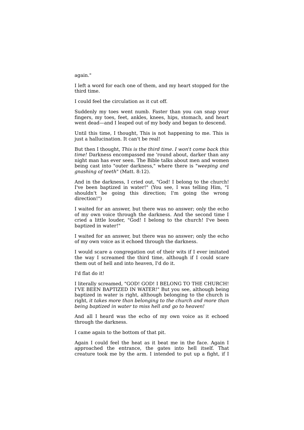again."

I left a word for each one of them, and my heart stopped for the third time.

I could feel the circulation as it cut off.

Suddenly my toes went numb. Faster than you can snap your fingers, my toes, feet, ankles, knees, hips, stomach, and heart went dead—and I leaped out of my body and began to descend.

Until this time, I thought, This is not happening to me. This is just a hallucination. It can't be real!

But then I thought, *This is the third time. I won't come back this time!* Darkness encompassed me 'round about, darker than any night man has ever seen. The Bible talks about men and women being cast into "outer darkness," where there is *"weeping and gnashing of teeth"* (Matt. 8:12).

And in the darkness, I cried out, "God! I belong to the church! I've been baptized in water!" (You see, I was telling Him, "I shouldn't be going this direction; I'm going the wrong direction!")

I waited for an answer, but there was no answer; only the echo of my own voice through the darkness. And the second time I cried a little louder, "God! I belong to the church! I've been baptized in water!"

I waited for an answer, but there was no answer; only the echo of my own voice as it echoed through the darkness.

I would scare a congregation out of their wits if I ever imitated the way I screamed the third time, although if I could scare them out of hell and into heaven, I'd do it.

I'd flat do it!

I literally screamed, "GOD! GOD! I BELONG TO THE CHURCH! I'VE BEEN BAPTIZED IN WATER!" But you see, although being baptized in water is right, although belonging to the church is right, *it takes more than belonging to the church and more than being baptized in water to miss hell and go to heaven!*

And all I heard was the echo of my own voice as it echoed through the darkness.

I came again to the bottom of that pit.

Again I could feel the heat as it beat me in the face. Again I approached the entrance, the gates into hell itself. That creature took me by the arm. I intended to put up a fight, if I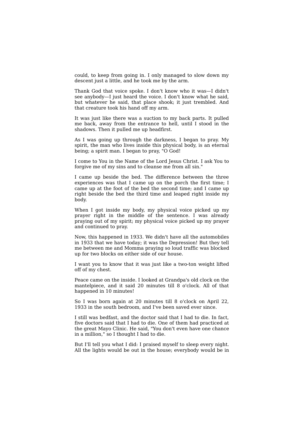could, to keep from going in. I only managed to slow down my descent just a little, and he took me by the arm.

Thank God that voice spoke. I don't know who it was—I didn't see anybody—I just heard the voice. I don't know what he said, but whatever he said, that place shook; it just trembled. And that creature took his hand off my arm.

It was just like there was a suction to my back parts. It pulled me back, away from the entrance to hell, until I stood in the shadows. Then it pulled me up headfirst.

As I was going up through the darkness, I began to pray. My spirit, the man who lives inside this physical body, is an eternal being; a spirit man. I began to pray, "O God!

I come to You in the Name of the Lord Jesus Christ. I ask You to forgive me of my sins and to cleanse me from all sin."

I came up beside the bed. The difference between the three experiences was that I came up on the porch the first time; I came up at the foot of the bed the second time; and I came up right beside the bed the third time and leaped right inside my body.

When I got inside my body, my physical voice picked up my prayer right in the middle of the sentence. I was already praying out of my spirit; my physical voice picked up my prayer and continued to pray.

Now, this happened in 1933. We didn't have all the automobiles in 1933 that we have today; it was the Depression! But they tell me between me and Momma praying so loud traffic was blocked up for two blocks on either side of our house.

I want you to know that it was just like a two-ton weight lifted off of my chest.

Peace came on the inside. I looked at Grandpa's old clock on the mantelpiece, and it said 20 minutes till 8 o'clock. All of that happened in 10 minutes!

So I was born again at 20 minutes till 8 o'clock on April 22, 1933 in the south bedroom, and I've been saved ever since.

I still was bedfast, and the doctor said that I had to die. In fact, five doctors said that I had to die. One of them had practiced at the great Mayo Clinic. He said, "You don't even have one chance in a million," so I thought I had to die.

But I'll tell you what I did: I praised myself to sleep every night. All the lights would be out in the house; everybody would be in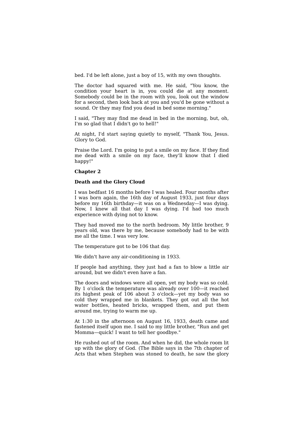bed. I'd be left alone, just a boy of 15, with my own thoughts.

The doctor had squared with me. He said, "You know, the condition your heart is in, you could die at any moment. Somebody could be in the room with you, look out the window for a second, then look back at you and you'd be gone without a sound. Or they may find you dead in bed some morning."

I said, "They may find me dead in bed in the morning, but, oh, I'm so glad that I didn't go to hell!"

At night, I'd start saying quietly to myself, "Thank You, Jesus. Glory to God.

Praise the Lord. I'm going to put a smile on my face. If they find me dead with a smile on my face, they'll know that I died happy!"

## **Chapter 2**

# **Death and the Glory Cloud**

I was bedfast 16 months before I was healed. Four months after I was born again, the 16th day of August 1933, just four days before my 16th birthday—it was on a Wednesday—I was dying. Now, I knew all that day I was dying. I'd had too much experience with dying not to know.

They had moved me to the north bedroom. My little brother, 9 years old, was there by me, because somebody had to be with me all the time. I was very low.

The temperature got to be 106 that day.

We didn't have any air-conditioning in 1933.

If people had anything, they just had a fan to blow a little air around, but we didn't even have a fan.

The doors and windows were all open, yet my body was so cold. By 1 o'clock the temperature was already over 100—it reached its highest peak of 106 about 3 o'clock—yet my body was so cold they wrapped me in blankets. They got out all the hot water bottles, heated bricks, wrapped them, and put them around me, trying to warm me up.

At 1:30 in the afternoon on August 16, 1933, death came and fastened itself upon me. I said to my little brother, "Run and get Momma—quick! I want to tell her goodbye."

He rushed out of the room. And when he did, the whole room lit up with the glory of God. (The Bible says in the 7th chapter of Acts that when Stephen was stoned to death, he saw the glory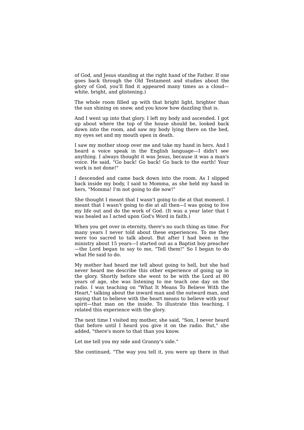of God, and Jesus standing at the right hand of the Father. If one goes back through the Old Testament and studies about the glory of God, you'll find it appeared many times as a cloud white, bright, and glistening.)

The whole room filled up with that bright light, brighter than the sun shining on snow, and you know how dazzling that is.

And I went up into that glory. I left my body and ascended. I got up about where the top of the house should be, looked back down into the room, and saw my body lying there on the bed, my eyes set and my mouth open in death.

I saw my mother stoop over me and take my hand in hers. And I heard a voice speak in the English language—I didn't see anything. I always thought it was Jesus, because it was a man's voice. He said, "Go back! Go back! Go back to the earth! Your work is not done!"

I descended and came back down into the room. As I slipped back inside my body, I said to Momma, as she held my hand in hers, "Momma! I'm not going to die now!"

She thought I meant that I wasn't going to die at that moment. I meant that I wasn't going to die at all then—I was going to live my life out and do the work of God. (It was a year later that I was healed as I acted upon God's Word in faith.)

When you get over in eternity, there's no such thing as time. For many years I never told about these experiences. To me they were too sacred to talk about. But after I had been in the ministry about 15 years—I started out as a Baptist boy preacher —the Lord began to say to me, "Tell them!" So I began to do what He said to do.

My mother had heard me tell about going to hell, but she had never heard me describe this other experience of going up in the glory. Shortly before she went to be with the Lord at 80 years of age, she was listening to me teach one day on the radio. I was teaching on "What It Means To Believe With the Heart," talking about the inward man and the outward man, and saying that to believe with the heart means to believe with your spirit—that man on the inside. To illustrate this teaching, I related this experience with the glory.

The next time I visited my mother, she said, "Son, I never heard that before until I heard you give it on the radio. But," she added, "there's more to that than you know.

Let me tell you my side and Granny's side."

She continued, "The way you tell it, you were up there in that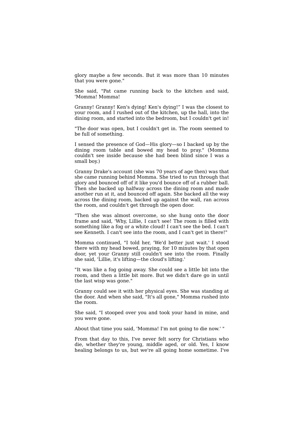glory maybe a few seconds. But it was more than 10 minutes that you were gone."

She said, "Pat came running back to the kitchen and said, 'Momma! Momma!

Granny! Granny! Ken's dying! Ken's dying!" I was the closest to your room, and I rushed out of the kitchen, up the hall, into the dining room, and started into the bedroom, but I couldn't get in!

"The door was open, but I couldn't get in. The room seemed to be full of something.

I sensed the presence of God—His glory—so I backed up by the dining room table and bowed my head to pray." (Momma couldn't see inside because she had been blind since I was a small boy.)

Granny Drake's account (she was 70 years of age then) was that she came running behind Momma. She tried to run through that glory and bounced off of it like you'd bounce off of a rubber ball. Then she backed up halfway across the dining room and made another run at it, and bounced off again. She backed all the way across the dining room, backed up against the wall, ran across the room, and couldn't get through the open door.

"Then she was almost overcome, so she hung onto the door frame and said, 'Why, Lillie, I can't see! The room is filled with something like a fog or a white cloud! I can't see the bed. I can't see Kenneth. I can't see into the room, and I can't get in there!"

Momma continued, "I told her, 'We'd better just wait.' I stood there with my head bowed, praying, for 10 minutes by that open door, yet your Granny still couldn't see into the room. Finally she said, 'Lillie, it's lifting—the cloud's lifting.'

"It was like a fog going away. She could see a little bit into the room, and then a little bit more. But we didn't dare go in until the last wisp was gone."

Granny could see it with her physical eyes. She was standing at the door. And when she said, "It's all gone," Momma rushed into the room.

She said, "I stooped over you and took your hand in mine, and you were gone.

About that time you said, 'Momma! I'm not going to die now.' "

From that day to this, I've never felt sorry for Christians who die, whether they're young, middle aged, or old. Yes, I know healing belongs to us, but we're all going home sometime. I've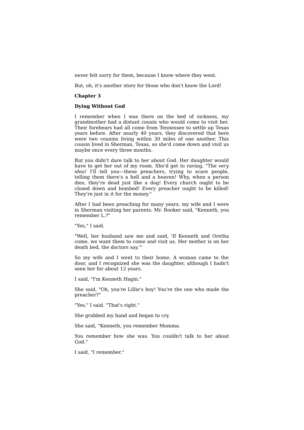never felt sorry for them, because I know where they went.

But, oh, it's another story for those who don't know the Lord!

#### **Chapter 3**

# **Dying Without God**

I remember when I was there on the bed of sickness, my grandmother had a distant cousin who would come to visit her. Their forebears had all come from Tennessee to settle up Texas years before. After nearly 40 years, they discovered that here were two cousins living within 30 miles of one another. This cousin lived in Sherman, Texas, so she'd come down and visit us maybe once every three months.

But you didn't dare talk to her about God. Her daughter would have to get her out of my room. She'd get to raving, "The *very idea!* I'll tell you—these preachers, trying to scare people, telling them there's a hell and a heaven! Why, when a person dies, they're dead just like a dog! Every church ought to be closed down and bombed! Every preacher ought to be killed! They're just in it for the money."

After I had been preaching for many years, my wife and I were in Sherman visiting her parents. Mr. Rooker said, "Kenneth, you remember L.?"

"Yes," I said.

"Well, her husband saw me and said, 'If Kenneth and Oretha come, we want them to come and visit us. Her mother is on her death bed, the doctors say.'"

So my wife and I went to their home. A woman came to the door, and I recognized she was the daughter, although I hadn't seen her for about 12 years.

I said, "I'm Kenneth Hagin."

She said, "Oh, you're Lillie's boy! You're the one who made the preacher?"

"Yes," I said. "That's right."

She grabbed my hand and began to cry.

She said, "Kenneth, you remember Momma.

You remember how she was. You couldn't talk to her about God."

I said, "I remember."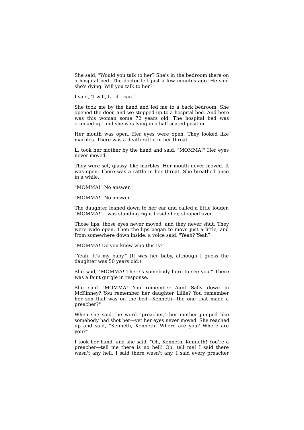She said, "Would you talk to her? She's in the bedroom there on a hospital bed. The doctor left just a few minutes ago. He said she's dying. Will you talk to her?"

I said, "I will, L., if I can."

She took me by the hand and led me to a back bedroom. She opened the door, and we stepped up to a hospital bed. And here was this woman some 72 years old. The hospital bed was cranked up, and she was lying in a half-seated position.

Her mouth was open. Her eyes were open. They looked like marbles. There was a death rattle in her throat.

L. took her mother by the hand and said, "MOMMA!" Her eyes never moved.

They were set, glassy, like marbles. Her mouth never moved. It was open. There was a rattle in her throat. She breathed once in a while.

"MOMMA!" No answer.

"MOMMA!" No answer.

The daughter leaned down to her ear and called a little louder. "MOMMA!" I was standing right beside her, stooped over.

Those lips, those eyes never moved, and they never shut. They were wide open. Then the lips began to move just a little, and from somewhere down inside, a voice said, "Yeah? Yeah?"

"MOMMA! Do you know who this is?"

"Yeah. It's my baby." (It *was* her baby, although I guess the daughter was 50 years old.)

She said, "MOMMA! There's somebody here to see you." There was a faint gurgle in response.

She said "MOMMA! You remember Aunt Sally down in McKinney? You remember her daughter Lillie? You remember her son that was on the bed—Kenneth—the one that made a preacher?"

When she said the word "preacher," her mother jumped like somebody had shot her—yet her eyes never moved. She reached up and said, "Kenneth, Kenneth! Where are you? Where are you?"

I took her hand, and she said, "Oh, Kenneth, Kenneth! You're a preacher—tell me there is no hell! Oh, tell me! I said there wasn't any hell. I said there wasn't any. I said every preacher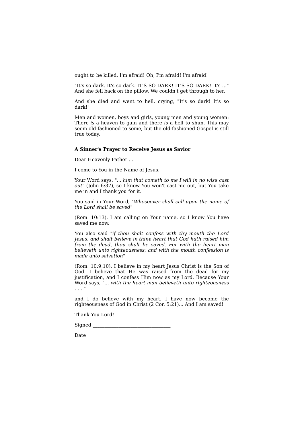ought to be killed. I'm afraid! Oh, I'm afraid! I'm afraid!

"It's so dark. It's so dark. IT'S SO DARK! IT'S SO DARK! It's ..." And she fell back on the pillow. We couldn't get through to her.

And she died and went to hell, crying, "It's so dark! It's so dark!"

Men and women, boys and girls, young men and young women: There *is* a heaven to gain and there *is* a hell to shun. This may seem old-fashioned to some, but the old-fashioned Gospel is still true today.

## **A Sinner's Prayer to Receive Jesus as Savior**

Dear Heavenly Father ...

I come to You in the Name of Jesus.

Your Word says, *"... him that cometh to me I will in no wise cast out"* (John 6:37), so I know You won't cast me out, but You take me in and I thank you for it.

You said in Your Word, *"Whosoever shall call upon the name of the Lord shall be saved"*

(Rom. 10:13). I am calling on Your name, so I know You have saved me now.

You also said *"if thou shalt confess with thy mouth the Lord Jesus, and shalt believe in thine heart that God hath raised him from the dead, thou shalt be saved. For with the heart man believeth unto righteousness; and with the mouth confession is made unto salvation"*

(Rom. 10:9,10). I believe in my heart Jesus Christ is the Son of God. I believe that He was raised from the dead for my justification, and I confess Him now as my Lord. Because Your Word says, *"... with the heart man believeth unto righteousness . . . "*

and I do believe with my heart, I have now become the righteousness of God in Christ (2 Cor. 5:21)... And I am saved!

Thank You Lord!

Signed \_\_\_\_\_\_\_\_\_\_\_\_\_\_\_\_\_\_\_\_\_\_\_\_\_\_\_\_\_\_\_\_\_

Date  $\Box$